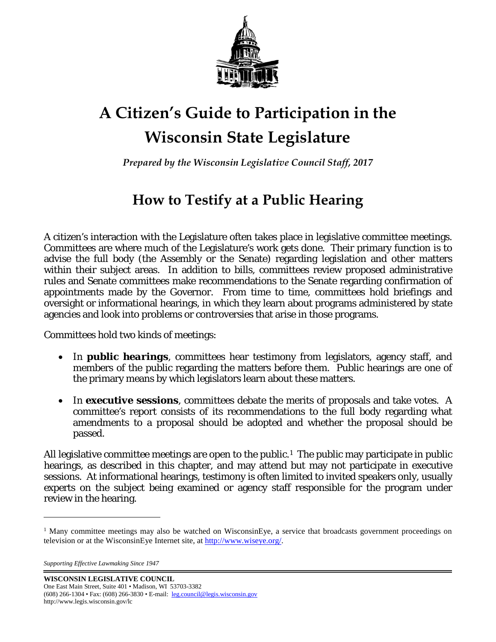

# **A Citizen's Guide to Participation in the Wisconsin State Legislature**

*Prepared by the Wisconsin Legislative Council Staff, 2017*

# **How to Testify at a Public Hearing**

A citizen's interaction with the Legislature often takes place in legislative committee meetings. Committees are where much of the Legislature's work gets done. Their primary function is to advise the full body (the Assembly or the Senate) regarding legislation and other matters within their subject areas. In addition to bills, committees review proposed administrative rules and Senate committees make recommendations to the Senate regarding confirmation of appointments made by the Governor. From time to time, committees hold briefings and oversight or informational hearings, in which they learn about programs administered by state agencies and look into problems or controversies that arise in those programs.

Committees hold two kinds of meetings:

- In *public hearings*, committees hear testimony from legislators, agency staff, and members of the public regarding the matters before them. Public hearings are one of the primary means by which legislators learn about these matters.
- In *executive sessions*, committees debate the merits of proposals and take votes. A committee's report consists of its recommendations to the full body regarding what amendments to a proposal should be adopted and whether the proposal should be passed.

All legislative committee meetings are open to the public.<sup>1</sup> The public may participate in public hearings, as described in this chapter, and may attend but may not participate in executive sessions. At informational hearings, testimony is often limited to invited speakers only, usually experts on the subject being examined or agency staff responsible for the program under review in the hearing.

 $\overline{a}$ 

<span id="page-0-0"></span><sup>&</sup>lt;sup>1</sup> Many committee meetings may also be watched on WisconsinEye, a service that broadcasts government proceedings on television or at the WisconsinEye Internet site, at [http://www.wiseye.org/.](http://www.wiseye.org/)

*Supporting Effective Lawmaking Since 1947*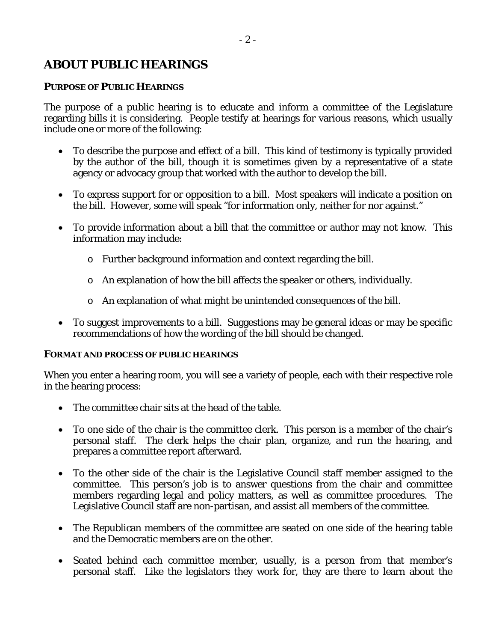### *ABOUT PUBLIC HEARINGS*

#### *PURPOSE OF PUBLIC HEARINGS*

The purpose of a public hearing is to educate and inform a committee of the Legislature regarding bills it is considering. People testify at hearings for various reasons, which usually include one or more of the following:

- To describe the purpose and effect of a bill. This kind of testimony is typically provided by the author of the bill, though it is sometimes given by a representative of a state agency or advocacy group that worked with the author to develop the bill.
- To express support for or opposition to a bill. Most speakers will indicate a position on the bill. However, some will speak "for information only, neither for nor against."
- To provide information about a bill that the committee or author may not know. This information may include:
	- o Further background information and context regarding the bill.
	- o An explanation of how the bill affects the speaker or others, individually.
	- o An explanation of what might be unintended consequences of the bill.
- To suggest improvements to a bill. Suggestions may be general ideas or may be specific recommendations of how the wording of the bill should be changed.

#### *FORMAT AND PROCESS OF PUBLIC HEARINGS*

When you enter a hearing room, you will see a variety of people, each with their respective role in the hearing process:

- The committee chair sits at the head of the table.
- To one side of the chair is the committee clerk. This person is a member of the chair's personal staff. The clerk helps the chair plan, organize, and run the hearing, and prepares a committee report afterward.
- To the other side of the chair is the Legislative Council staff member assigned to the committee. This person's job is to answer questions from the chair and committee members regarding legal and policy matters, as well as committee procedures. The Legislative Council staff are non-partisan, and assist all members of the committee.
- The Republican members of the committee are seated on one side of the hearing table and the Democratic members are on the other.
- Seated behind each committee member, usually, is a person from that member's personal staff. Like the legislators they work for, they are there to learn about the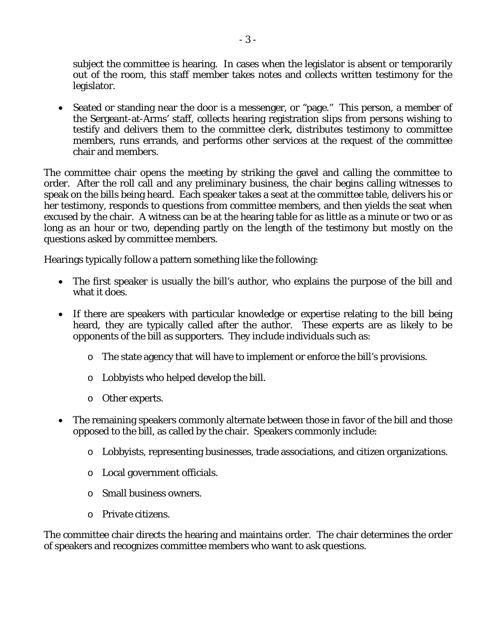subject the committee is hearing. In cases when the legislator is absent or temporarily out of the room, this staff member takes notes and collects written testimony for the legislator.

• Seated or standing near the door is a messenger, or "page." This person, a member of the Sergeant-at-Arms' staff, collects hearing registration slips from persons wishing to testify and delivers them to the committee clerk, distributes testimony to committee members, runs errands, and performs other services at the request of the committee chair and members.

The committee chair opens the meeting by striking the gavel and calling the committee to order. After the roll call and any preliminary business, the chair begins calling witnesses to speak on the bills being heard. Each speaker takes a seat at the committee table, delivers his or her testimony, responds to questions from committee members, and then yields the seat when excused by the chair. A witness can be at the hearing table for as little as a minute or two or as long as an hour or two, depending partly on the length of the testimony but mostly on the questions asked by committee members.

Hearings typically follow a pattern something like the following:

- The first speaker is usually the bill's author, who explains the purpose of the bill and what it does.
- If there are speakers with particular knowledge or expertise relating to the bill being heard, they are typically called after the author. These experts are as likely to be opponents of the bill as supporters. They include individuals such as:
	- o The state agency that will have to implement or enforce the bill's provisions.
	- o Lobbyists who helped develop the bill.
	- o Other experts.
- The remaining speakers commonly alternate between those in favor of the bill and those opposed to the bill, as called by the chair. Speakers commonly include:
	- o Lobbyists, representing businesses, trade associations, and citizen organizations.
	- o Local government officials.
	- o Small business owners.
	- o Private citizens.

The committee chair directs the hearing and maintains order. The chair determines the order of speakers and recognizes committee members who want to ask questions.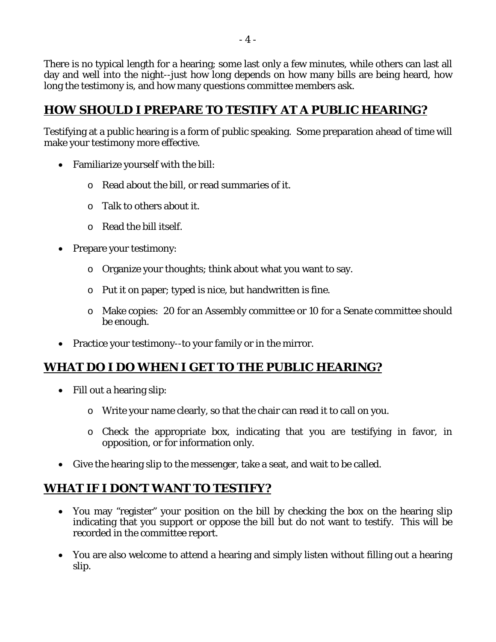There is no typical length for a hearing; some last only a few minutes, while others can last all day and well into the night--just how long depends on how many bills are being heard, how long the testimony is, and how many questions committee members ask.

### *HOW SHOULD I PREPARE TO TESTIFY AT A PUBLIC HEARING?*

Testifying at a public hearing is a form of public speaking. Some preparation ahead of time will make your testimony more effective.

- Familiarize yourself with the bill:
	- o Read about the bill, or read summaries of it.
	- o Talk to others about it.
	- o Read the bill itself.
- Prepare your testimony:
	- o Organize your thoughts; think about what you want to say.
	- o Put it on paper; typed is nice, but handwritten is fine.
	- o Make copies: 20 for an Assembly committee or 10 for a Senate committee should be enough.
- Practice your testimony-to your family or in the mirror.

## *WHAT DO I DO WHEN I GET TO THE PUBLIC HEARING?*

- Fill out a hearing slip:
	- o Write your name clearly, so that the chair can read it to call on you.
	- o Check the appropriate box, indicating that you are testifying in favor, in opposition, or for information only.
- Give the hearing slip to the messenger, take a seat, and wait to be called.

## *WHAT IF I DON'T WANT TO TESTIFY?*

- You may "register" your position on the bill by checking the box on the hearing slip indicating that you support or oppose the bill but do not want to testify. This will be recorded in the committee report.
- You are also welcome to attend a hearing and simply listen without filling out a hearing slip.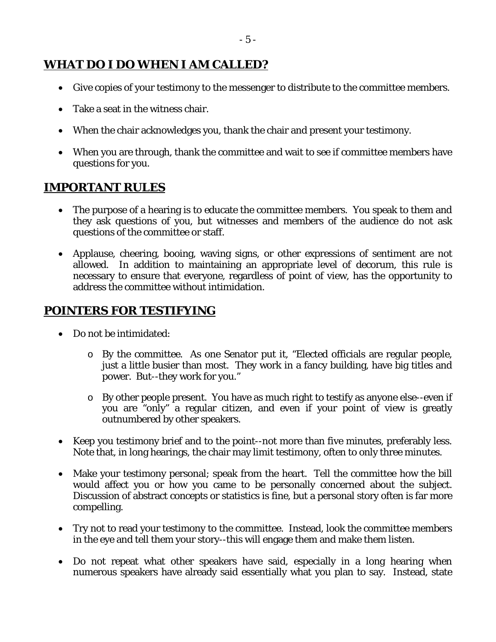### *WHAT DO I DO WHEN I AM CALLED?*

- Give copies of your testimony to the messenger to distribute to the committee members.
- Take a seat in the witness chair.
- When the chair acknowledges you, thank the chair and present your testimony.
- When you are through, thank the committee and wait to see if committee members have questions for you.

### *IMPORTANT RULES*

- The purpose of a hearing is to educate the committee members. You speak to them and they ask questions of you, but witnesses and members of the audience do not ask questions of the committee or staff.
- Applause, cheering, booing, waving signs, or other expressions of sentiment are not allowed. In addition to maintaining an appropriate level of decorum, this rule is necessary to ensure that everyone, regardless of point of view, has the opportunity to address the committee without intimidation.

### *POINTERS FOR TESTIFYING*

- Do not be intimidated:
	- o By the committee. As one Senator put it, "Elected officials are regular people, just a little busier than most. They work in a fancy building, have big titles and power. But--they work for you."
	- o By other people present. You have as much right to testify as anyone else--even if you are "only" a regular citizen, and even if your point of view is greatly outnumbered by other speakers.
- Keep you testimony brief and to the point--not more than five minutes, preferably less. Note that, in long hearings, the chair may limit testimony, often to only three minutes.
- Make your testimony personal; speak from the heart. Tell the committee how the bill would affect you or how you came to be personally concerned about the subject. Discussion of abstract concepts or statistics is fine, but a personal story often is far more compelling.
- Try not to read your testimony to the committee. Instead, look the committee members in the eye and tell them your story--this will engage them and make them listen.
- Do not repeat what other speakers have said, especially in a long hearing when numerous speakers have already said essentially what you plan to say. Instead, state